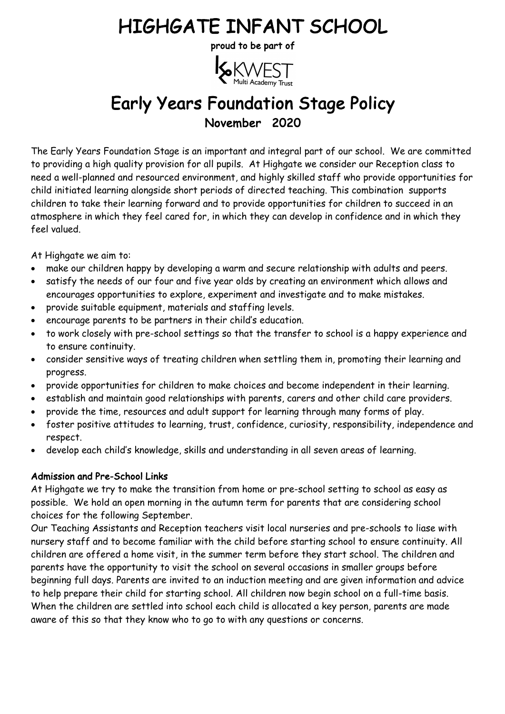# HIGHGATE INFANT SCHOOL<br>proud to be part of



# Early Years Foundation Stage Policy November 2020

The Early Years Foundation Stage is an important and integral part of our school. We are committed to providing a high quality provision for all pupils. At Highgate we consider our Reception class to need a well-planned and resourced environment, and highly skilled staff who provide opportunities for child initiated learning alongside short periods of directed teaching. This combination supports children to take their learning forward and to provide opportunities for children to succeed in an atmosphere in which they feel cared for, in which they can develop in confidence and in which they feel valued.

At Highgate we aim to:

- make our children happy by developing a warm and secure relationship with adults and peers.
- satisfy the needs of our four and five year olds by creating an environment which allows and encourages opportunities to explore, experiment and investigate and to make mistakes.
- provide suitable equipment, materials and staffing levels.
- encourage parents to be partners in their child's education.
- to work closely with pre-school settings so that the transfer to school is a happy experience and to ensure continuity.
- consider sensitive ways of treating children when settling them in, promoting their learning and progress.
- provide opportunities for children to make choices and become independent in their learning.
- establish and maintain good relationships with parents, carers and other child care providers.
- provide the time, resources and adult support for learning through many forms of play.
- foster positive attitudes to learning, trust, confidence, curiosity, responsibility, independence and respect.
- develop each child's knowledge, skills and understanding in all seven areas of learning.

# Admission and Pre-School Links

At Highgate we try to make the transition from home or pre-school setting to school as easy as possible. We hold an open morning in the autumn term for parents that are considering school choices for the following September.

Our Teaching Assistants and Reception teachers visit local nurseries and pre-schools to liase with nursery staff and to become familiar with the child before starting school to ensure continuity. All children are offered a home visit, in the summer term before they start school. The children and parents have the opportunity to visit the school on several occasions in smaller groups before beginning full days. Parents are invited to an induction meeting and are given information and advice to help prepare their child for starting school. All children now begin school on a full-time basis. When the children are settled into school each child is allocated a key person, parents are made aware of this so that they know who to go to with any questions or concerns.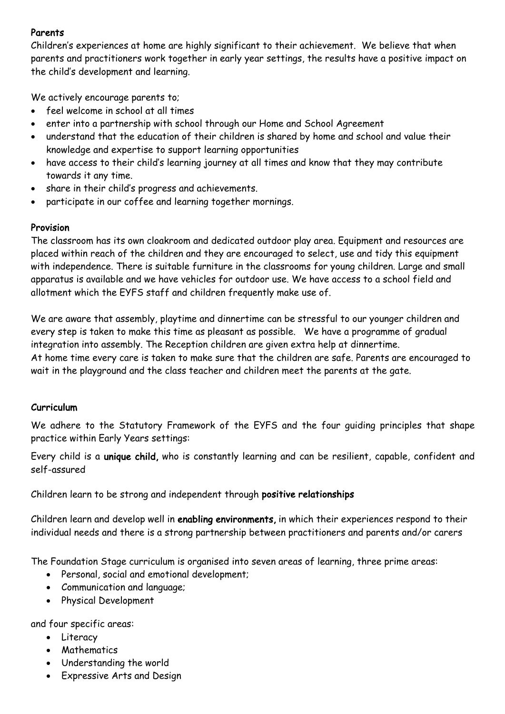# Parents

Children's experiences at home are highly significant to their achievement. We believe that when parents and practitioners work together in early year settings, the results have a positive impact on the child's development and learning.

We actively encourage parents to;

- feel welcome in school at all times
- enter into a partnership with school through our Home and School Agreement
- understand that the education of their children is shared by home and school and value their knowledge and expertise to support learning opportunities
- have access to their child's learning journey at all times and know that they may contribute towards it any time.
- share in their child's progress and achievements.
- participate in our coffee and learning together mornings.

#### Provision

The classroom has its own cloakroom and dedicated outdoor play area. Equipment and resources are placed within reach of the children and they are encouraged to select, use and tidy this equipment with independence. There is suitable furniture in the classrooms for young children. Large and small apparatus is available and we have vehicles for outdoor use. We have access to a school field and allotment which the EYFS staff and children frequently make use of.

We are aware that assembly, playtime and dinnertime can be stressful to our younger children and every step is taken to make this time as pleasant as possible. We have a programme of gradual integration into assembly. The Reception children are given extra help at dinnertime. At home time every care is taken to make sure that the children are safe. Parents are encouraged to wait in the playground and the class teacher and children meet the parents at the gate.

## Curriculum

We adhere to the Statutory Framework of the EYFS and the four guiding principles that shape practice within Early Years settings:

Every child is a unique child, who is constantly learning and can be resilient, capable, confident and self-assured

Children learn to be strong and independent through positive relationships

Children learn and develop well in enabling environments, in which their experiences respond to their individual needs and there is a strong partnership between practitioners and parents and/or carers

The Foundation Stage curriculum is organised into seven areas of learning, three prime areas:

- Personal, social and emotional development;
- Communication and language;
- Physical Development

and four specific areas:

- Literacy
- Mathematics
- Understanding the world
- Expressive Arts and Design